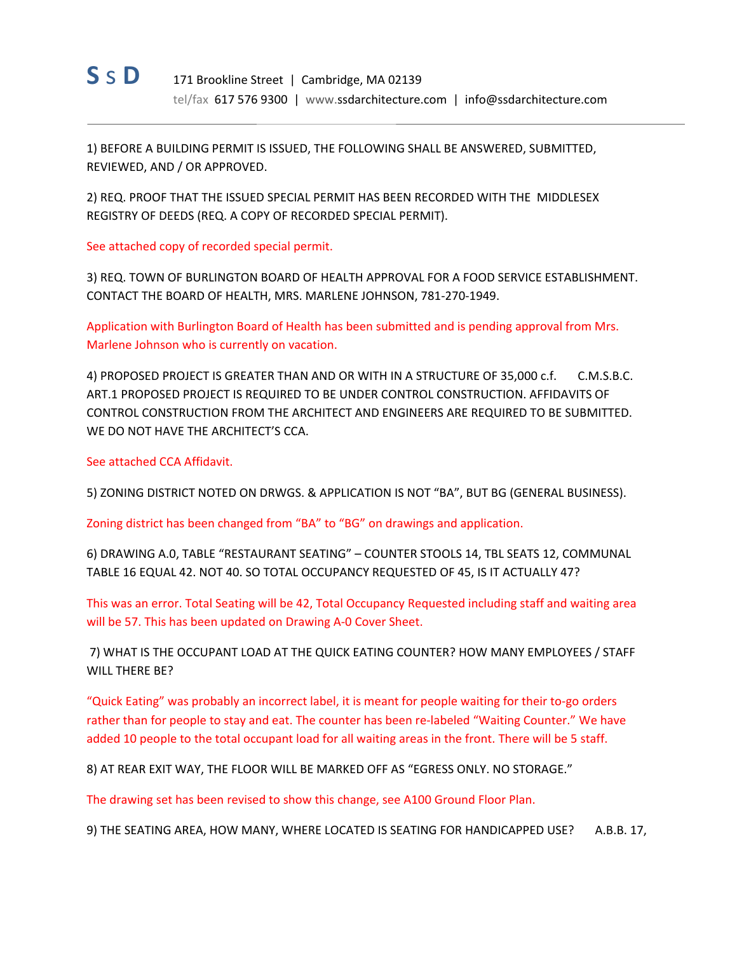

1) BEFORE A BUILDING PERMIT IS ISSUED, THE FOLLOWING SHALL BE ANSWERED, SUBMITTED, REVIEWED, AND / OR APPROVED.

2) REQ. PROOF THAT THE ISSUED SPECIAL PERMIT HAS BEEN RECORDED WITH THE MIDDLESEX REGISTRY OF DEEDS (REQ. A COPY OF RECORDED SPECIAL PERMIT).

See attached copy of recorded special permit.

3) REQ. TOWN OF BURLINGTON BOARD OF HEALTH APPROVAL FOR A FOOD SERVICE ESTABLISHMENT. CONTACT THE BOARD OF HEALTH, MRS. MARLENE JOHNSON, 781‐270‐1949.

Application with Burlington Board of Health has been submitted and is pending approval from Mrs. Marlene Johnson who is currently on vacation.

4) PROPOSED PROJECT IS GREATER THAN AND OR WITH IN A STRUCTURE OF 35,000 c.f. C.M.S.B.C. ART.1 PROPOSED PROJECT IS REQUIRED TO BE UNDER CONTROL CONSTRUCTION. AFFIDAVITS OF CONTROL CONSTRUCTION FROM THE ARCHITECT AND ENGINEERS ARE REQUIRED TO BE SUBMITTED. WE DO NOT HAVE THE ARCHITECT'S CCA.

See attached CCA Affidavit.

5) ZONING DISTRICT NOTED ON DRWGS. & APPLICATION IS NOT "BA", BUT BG (GENERAL BUSINESS).

Zoning district has been changed from "BA" to "BG" on drawings and application.

6) DRAWING A.0, TABLE "RESTAURANT SEATING" – COUNTER STOOLS 14, TBL SEATS 12, COMMUNAL TABLE 16 EQUAL 42. NOT 40. SO TOTAL OCCUPANCY REQUESTED OF 45, IS IT ACTUALLY 47?

This was an error. Total Seating will be 42, Total Occupancy Requested including staff and waiting area will be 57. This has been updated on Drawing A‐0 Cover Sheet.

7) WHAT IS THE OCCUPANT LOAD AT THE QUICK EATING COUNTER? HOW MANY EMPLOYEES / STAFF WILL THERE BE?

"Quick Eating" was probably an incorrect label, it is meant for people waiting for their to‐go orders rather than for people to stay and eat. The counter has been re-labeled "Waiting Counter." We have added 10 people to the total occupant load for all waiting areas in the front. There will be 5 staff.

8) AT REAR EXIT WAY, THE FLOOR WILL BE MARKED OFF AS "EGRESS ONLY. NO STORAGE."

The drawing set has been revised to show this change, see A100 Ground Floor Plan.

9) THE SEATING AREA, HOW MANY, WHERE LOCATED IS SEATING FOR HANDICAPPED USE? A.B.B. 17,